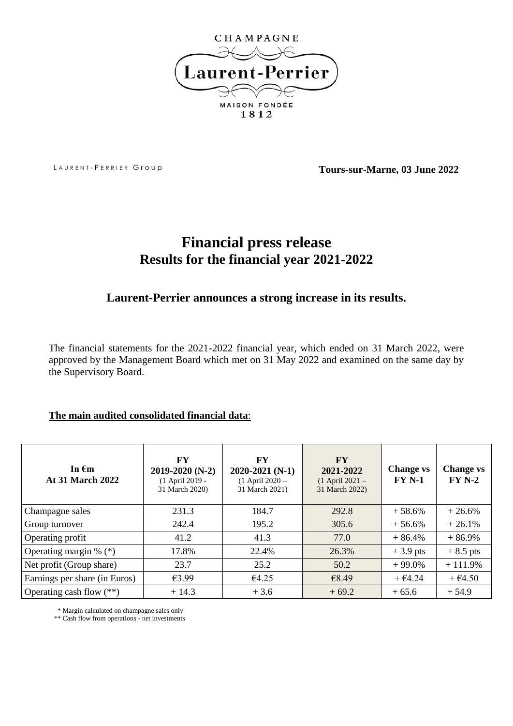

LAURENT-PERRIER Group **Tours-sur-Marne, 03 June 2022** 

# **Financial press release Results for the financial year 2021-2022**

## **Laurent-Perrier announces a strong increase in its results.**

The financial statements for the 2021-2022 financial year, which ended on 31 March 2022, were approved by the Management Board which met on 31 May 2022 and examined on the same day by the Supervisory Board.

### **The main audited consolidated financial data**:

| In $\epsilon$ m<br><b>At 31 March 2022</b> | $\mathbf{F}\mathbf{Y}$<br>2019-2020 (N-2)<br>(1 April 2019 -<br>31 March 2020) | FY<br>$2020 - 2021(N-1)$<br>$(1$ April 2020 -<br>31 March 2021) | <b>FY</b><br>2021-2022<br>$(1$ April 2021 -<br>31 March 2022) | <b>Change vs</b><br><b>FY N-1</b> | <b>Change vs</b><br>$FYN-2$ |
|--------------------------------------------|--------------------------------------------------------------------------------|-----------------------------------------------------------------|---------------------------------------------------------------|-----------------------------------|-----------------------------|
| Champagne sales                            | 231.3                                                                          | 184.7                                                           | 292.8                                                         | $+58.6%$                          | $+26.6%$                    |
| Group turnover                             | 242.4                                                                          | 195.2                                                           | 305.6                                                         | $+56.6%$                          | $+26.1%$                    |
| Operating profit                           | 41.2                                                                           | 41.3                                                            | 77.0                                                          | $+86.4%$                          | $+86.9%$                    |
| Operating margin $\%$ (*)                  | 17.8%                                                                          | 22.4%                                                           | 26.3%                                                         | $+3.9$ pts                        | $+8.5$ pts                  |
| Net profit (Group share)                   | 23.7                                                                           | 25.2                                                            | 50.2                                                          | $+99.0%$                          | $+111.9%$                   |
| Earnings per share (in Euros)              | £3.99                                                                          | €4.25                                                           | €8.49                                                         | $+$ €4.24                         | $+$ $\epsilon$ 4.50         |
| Operating cash flow (**)                   | $+14.3$                                                                        | $+3.6$                                                          | $+69.2$                                                       | $+65.6$                           | $+54.9$                     |

\* Margin calculated on champagne sales only

\*\* Cash flow from operations - net investments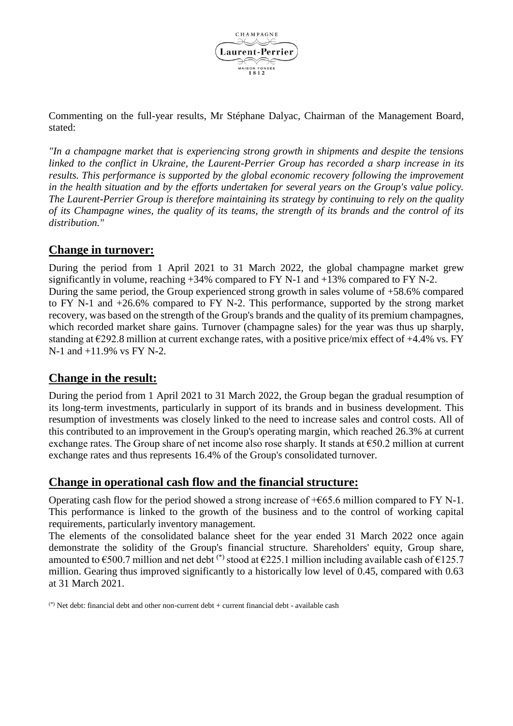

Commenting on the full-year results, Mr Stéphane Dalyac, Chairman of the Management Board, stated:

*"In a champagne market that is experiencing strong growth in shipments and despite the tensions linked to the conflict in Ukraine, the Laurent-Perrier Group has recorded a sharp increase in its results. This performance is supported by the global economic recovery following the improvement in the health situation and by the efforts undertaken for several years on the Group's value policy. The Laurent-Perrier Group is therefore maintaining its strategy by continuing to rely on the quality of its Champagne wines, the quality of its teams, the strength of its brands and the control of its distribution."*

#### **Change in turnover:**

During the period from 1 April 2021 to 31 March 2022, the global champagne market grew significantly in volume, reaching +34% compared to FY N-1 and +13% compared to FY N-2. During the same period, the Group experienced strong growth in sales volume of +58.6% compared to FY N-1 and +26.6% compared to FY N-2. This performance, supported by the strong market recovery, was based on the strength of the Group's brands and the quality of its premium champagnes, which recorded market share gains. Turnover (champagne sales) for the year was thus up sharply, standing at  $\epsilon$ 292.8 million at current exchange rates, with a positive price/mix effect of +4.4% vs. FY N-1 and +11.9% vs FY N-2.

#### **Change in the result:**

During the period from 1 April 2021 to 31 March 2022, the Group began the gradual resumption of its long-term investments, particularly in support of its brands and in business development. This resumption of investments was closely linked to the need to increase sales and control costs. All of this contributed to an improvement in the Group's operating margin, which reached 26.3% at current exchange rates. The Group share of net income also rose sharply. It stands at €50.2 million at current exchange rates and thus represents 16.4% of the Group's consolidated turnover.

## **Change in operational cash flow and the financial structure:**

Operating cash flow for the period showed a strong increase of  $+665.6$  million compared to FY N-1. This performance is linked to the growth of the business and to the control of working capital requirements, particularly inventory management.

The elements of the consolidated balance sheet for the year ended 31 March 2022 once again demonstrate the solidity of the Group's financial structure. Shareholders' equity, Group share, amounted to  $\epsilon$ 500.7 million and net debt<sup>(\*)</sup> stood at  $\epsilon$ 225.1 million including available cash of  $\epsilon$ 125.7 million. Gearing thus improved significantly to a historically low level of 0.45, compared with 0.63 at 31 March 2021.

(\*) Net debt: financial debt and other non-current debt + current financial debt - available cash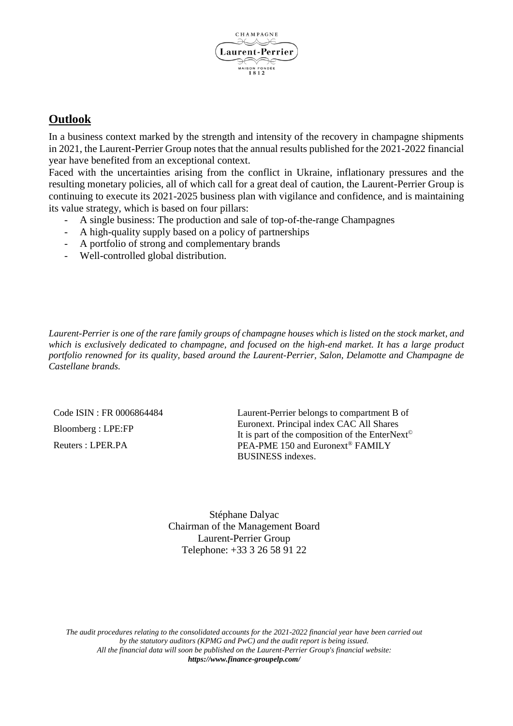

### **Outlook**

In a business context marked by the strength and intensity of the recovery in champagne shipments in 2021, the Laurent-Perrier Group notes that the annual results published for the 2021-2022 financial year have benefited from an exceptional context.

Faced with the uncertainties arising from the conflict in Ukraine, inflationary pressures and the resulting monetary policies, all of which call for a great deal of caution, the Laurent-Perrier Group is continuing to execute its 2021-2025 business plan with vigilance and confidence, and is maintaining its value strategy, which is based on four pillars:

- A single business: The production and sale of top-of-the-range Champagnes
- A high-quality supply based on a policy of partnerships
- A portfolio of strong and complementary brands
- Well-controlled global distribution.

*Laurent-Perrier is one of the rare family groups of champagne houses which is listed on the stock market, and which is exclusively dedicated to champagne, and focused on the high-end market. It has a large product portfolio renowned for its quality, based around the Laurent-Perrier, Salon, Delamotte and Champagne de Castellane brands.*

Code ISIN : FR 0006864484 Bloomberg : LPE:FP Reuters : LPER.PA

Laurent-Perrier belongs to compartment B of Euronext. Principal index CAC All Shares It is part of the composition of the EnterNext© PEA-PME 150 and Euronext® FAMILY BUSINESS indexes.

Stéphane Dalyac Chairman of the Management Board Laurent-Perrier Group Telephone: +33 3 26 58 91 22

*The audit procedures relating to the consolidated accounts for the 2021-2022 financial year have been carried out by the statutory auditors (KPMG and PwC) and the audit report is being issued. All the financial data will soon be published on the Laurent-Perrier Group's financial website: [https://www.finance-groupelp.com/](https://www.finance-groupelp.com/fr/points-vue-externes)*